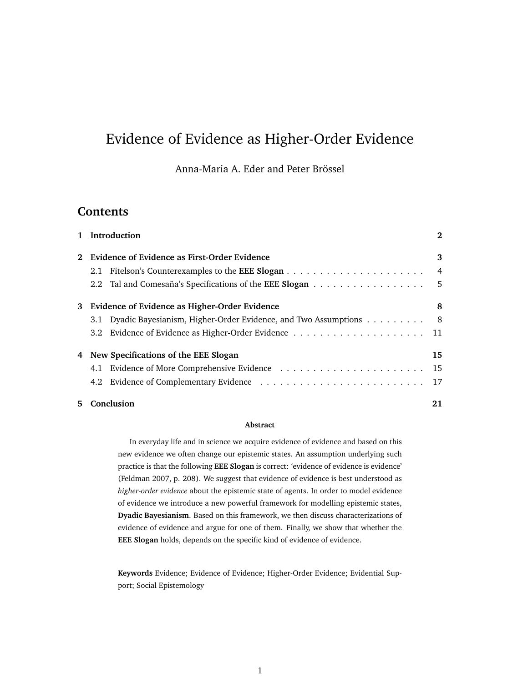# Evidence of Evidence as Higher-Order Evidence

Anna-Maria A. Eder and Peter Brössel

## **Contents**

|  | 1 Introduction                                                       | $\bf{2}$ |
|--|----------------------------------------------------------------------|----------|
|  | 2 Evidence of Evidence as First-Order Evidence                       | 3        |
|  |                                                                      |          |
|  | 2.2 Tal and Comesaña's Specifications of the EEE Slogan 5            |          |
|  | 3 Evidence of Evidence as Higher-Order Evidence                      | 8        |
|  | 3.1 Dyadic Bayesianism, Higher-Order Evidence, and Two Assumptions 8 |          |
|  |                                                                      |          |
|  | 4 New Specifications of the EEE Slogan                               | 15       |
|  |                                                                      |          |
|  |                                                                      |          |
|  |                                                                      |          |

#### **5 Conclusion 21**

#### **Abstract**

In everyday life and in science we acquire evidence of evidence and based on this new evidence we often change our epistemic states. An assumption underlying such practice is that the following **EEE Slogan** is correct: 'evidence of evidence is evidence' (Feldman 2007, p. 208). We suggest that evidence of evidence is best understood as *higher-order evidence* about the epistemic state of agents. In order to model evidence of evidence we introduce a new powerful framework for modelling epistemic states, **Dyadic Bayesianism**. Based on this framework, we then discuss characterizations of evidence of evidence and argue for one of them. Finally, we show that whether the EEE Slogan holds, depends on the specific kind of evidence of evidence.

**Keywords** Evidence; Evidence of Evidence; Higher-Order Evidence; Evidential Support; Social Epistemology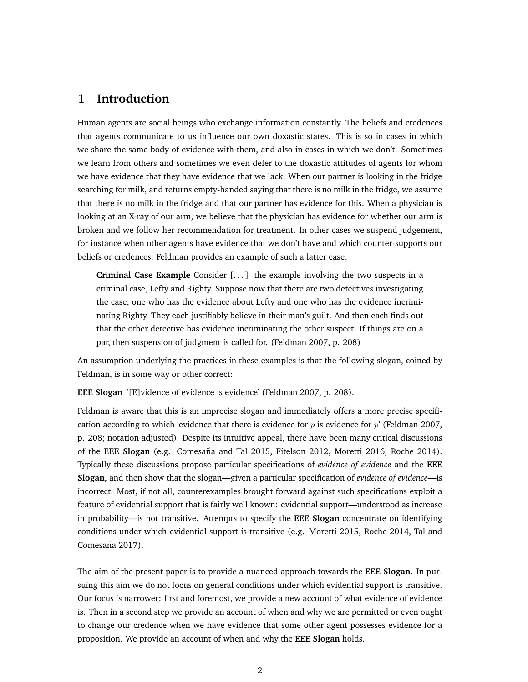## **1 Introduction**

Human agents are social beings who exchange information constantly. The beliefs and credences that agents communicate to us influence our own doxastic states. This is so in cases in which we share the same body of evidence with them, and also in cases in which we don't. Sometimes we learn from others and sometimes we even defer to the doxastic attitudes of agents for whom we have evidence that they have evidence that we lack. When our partner is looking in the fridge searching for milk, and returns empty-handed saying that there is no milk in the fridge, we assume that there is no milk in the fridge and that our partner has evidence for this. When a physician is looking at an X-ray of our arm, we believe that the physician has evidence for whether our arm is broken and we follow her recommendation for treatment. In other cases we suspend judgement, for instance when other agents have evidence that we don't have and which counter-supports our beliefs or credences. Feldman provides an example of such a latter case:

**Criminal Case Example** Consider [...] the example involving the two suspects in a criminal case, Lefty and Righty. Suppose now that there are two detectives investigating the case, one who has the evidence about Lefty and one who has the evidence incriminating Righty. They each justifiably believe in their man's guilt. And then each finds out that the other detective has evidence incriminating the other suspect. If things are on a par, then suspension of judgment is called for. (Feldman 2007, p. 208)

An assumption underlying the practices in these examples is that the following slogan, coined by Feldman, is in some way or other correct:

**EEE Slogan** '[E]vidence of evidence is evidence' (Feldman 2007, p. 208).

Feldman is aware that this is an imprecise slogan and immediately offers a more precise specification according to which 'evidence that there is evidence for p is evidence for p' (Feldman 2007, p. 208; notation adjusted). Despite its intuitive appeal, there have been many critical discussions of the **EEE Slogan** (e.g. Comesaña and Tal 2015, Fitelson 2012, Moretti 2016, Roche 2014). Typically these discussions propose particular specifications of *evidence of evidence* and the **EEE Slogan**, and then show that the slogan—given a particular specification of *evidence of evidence*—is incorrect. Most, if not all, counterexamples brought forward against such specifications exploit a feature of evidential support that is fairly well known: evidential support—understood as increase in probability—is not transitive. Attempts to specify the **EEE Slogan** concentrate on identifying conditions under which evidential support is transitive (e.g. Moretti 2015, Roche 2014, Tal and Comesaña 2017).

The aim of the present paper is to provide a nuanced approach towards the **EEE Slogan**. In pursuing this aim we do not focus on general conditions under which evidential support is transitive. Our focus is narrower: first and foremost, we provide a new account of what evidence of evidence is. Then in a second step we provide an account of when and why we are permitted or even ought to change our credence when we have evidence that some other agent possesses evidence for a proposition. We provide an account of when and why the **EEE Slogan** holds.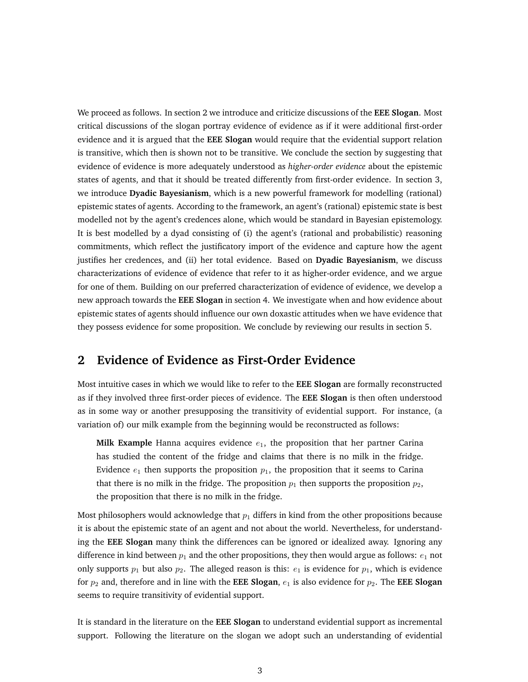We proceed as follows. In section 2 we introduce and criticize discussions of the **EEE Slogan**. Most critical discussions of the slogan portray evidence of evidence as if it were additional first-order evidence and it is argued that the **EEE Slogan** would require that the evidential support relation is transitive, which then is shown not to be transitive. We conclude the section by suggesting that evidence of evidence is more adequately understood as *higher-order evidence* about the epistemic states of agents, and that it should be treated differently from first-order evidence. In section 3, we introduce **Dyadic Bayesianism**, which is a new powerful framework for modelling (rational) epistemic states of agents. According to the framework, an agent's (rational) epistemic state is best modelled not by the agent's credences alone, which would be standard in Bayesian epistemology. It is best modelled by a dyad consisting of (i) the agent's (rational and probabilistic) reasoning commitments, which reflect the justificatory import of the evidence and capture how the agent justifies her credences, and (ii) her total evidence. Based on **Dyadic Bayesianism**, we discuss characterizations of evidence of evidence that refer to it as higher-order evidence, and we argue for one of them. Building on our preferred characterization of evidence of evidence, we develop a new approach towards the **EEE Slogan** in section 4. We investigate when and how evidence about epistemic states of agents should influence our own doxastic attitudes when we have evidence that they possess evidence for some proposition. We conclude by reviewing our results in section 5.

## **2 Evidence of Evidence as First-Order Evidence**

Most intuitive cases in which we would like to refer to the **EEE Slogan** are formally reconstructed as if they involved three first-order pieces of evidence. The **EEE Slogan** is then often understood as in some way or another presupposing the transitivity of evidential support. For instance, (a variation of) our milk example from the beginning would be reconstructed as follows:

**Milk Example** Hanna acquires evidence  $e_1$ , the proposition that her partner Carina has studied the content of the fridge and claims that there is no milk in the fridge. Evidence  $e_1$  then supports the proposition  $p_1$ , the proposition that it seems to Carina that there is no milk in the fridge. The proposition  $p_1$  then supports the proposition  $p_2$ , the proposition that there is no milk in the fridge.

Most philosophers would acknowledge that  $p_1$  differs in kind from the other propositions because it is about the epistemic state of an agent and not about the world. Nevertheless, for understanding the **EEE Slogan** many think the differences can be ignored or idealized away. Ignoring any difference in kind between  $p_1$  and the other propositions, they then would argue as follows:  $e_1$  not only supports  $p_1$  but also  $p_2$ . The alleged reason is this:  $e_1$  is evidence for  $p_1$ , which is evidence for  $p_2$  and, therefore and in line with the **EEE Slogan**,  $e_1$  is also evidence for  $p_2$ . The **EEE Slogan** seems to require transitivity of evidential support.

It is standard in the literature on the **EEE Slogan** to understand evidential support as incremental support. Following the literature on the slogan we adopt such an understanding of evidential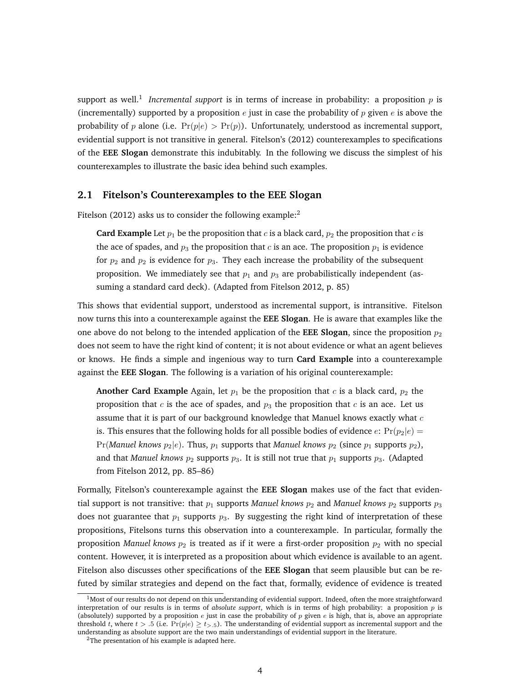support as well.<sup>1</sup> Incremental support is in terms of increase in probability: a proposition  $p$  is (incrementally) supported by a proposition  $e$  just in case the probability of  $p$  given  $e$  is above the probability of p alone (i.e.  $Pr(p|e) > Pr(p)$ ). Unfortunately, understood as incremental support, evidential support is not transitive in general. Fitelson's (2012) counterexamples to specifications of the **EEE Slogan** demonstrate this indubitably. In the following we discuss the simplest of his counterexamples to illustrate the basic idea behind such examples.

#### **2.1 Fitelson's Counterexamples to the EEE Slogan**

Fitelson (2012) asks us to consider the following example:<sup>2</sup>

**Card Example** Let  $p_1$  be the proposition that c is a black card,  $p_2$  the proposition that c is the ace of spades, and  $p_3$  the proposition that c is an ace. The proposition  $p_1$  is evidence for  $p_2$  and  $p_2$  is evidence for  $p_3$ . They each increase the probability of the subsequent proposition. We immediately see that  $p_1$  and  $p_3$  are probabilistically independent (assuming a standard card deck). (Adapted from Fitelson 2012, p. 85)

This shows that evidential support, understood as incremental support, is intransitive. Fitelson now turns this into a counterexample against the **EEE Slogan**. He is aware that examples like the one above do not belong to the intended application of the **EEE Slogan**, since the proposition  $p_2$ does not seem to have the right kind of content; it is not about evidence or what an agent believes or knows. He finds a simple and ingenious way to turn **Card Example** into a counterexample against the **EEE Slogan**. The following is a variation of his original counterexample:

**Another Card Example** Again, let  $p_1$  be the proposition that c is a black card,  $p_2$  the proposition that c is the ace of spades, and  $p_3$  the proposition that c is an ace. Let us assume that it is part of our background knowledge that Manuel knows exactly what  $c$ is. This ensures that the following holds for all possible bodies of evidence  $e$ :  $Pr(p_2|e)$  =  $Pr(Manuel knows p_2|e)$ . Thus,  $p_1$  supports that *Manuel knows*  $p_2$  (since  $p_1$  supports  $p_2$ ), and that *Manuel knows*  $p_2$  supports  $p_3$ . It is still not true that  $p_1$  supports  $p_3$ . (Adapted from Fitelson 2012, pp. 85–86)

Formally, Fitelson's counterexample against the **EEE Slogan** makes use of the fact that evidential support is not transitive: that  $p_1$  supports *Manuel knows*  $p_2$  and *Manuel knows*  $p_2$  supports  $p_3$ does not guarantee that  $p_1$  supports  $p_3$ . By suggesting the right kind of interpretation of these propositions, Fitelsons turns this observation into a counterexample. In particular, formally the proposition *Manuel knows*  $p_2$  is treated as if it were a first-order proposition  $p_2$  with no special content. However, it is interpreted as a proposition about which evidence is available to an agent. Fitelson also discusses other specifications of the **EEE Slogan** that seem plausible but can be refuted by similar strategies and depend on the fact that, formally, evidence of evidence is treated

 $1$ Most of our results do not depend on this understanding of evidential support. Indeed, often the more straightforward interpretation of our results is in terms of *absolute support*, which is in terms of high probability: a proposition p is (absolutely) supported by a proposition  $e$  just in case the probability of  $p$  given  $e$  is high, that is, above an appropriate threshold t, where  $t > .5$  (i.e.  $Pr(p|e) \ge t > .5$ ). The understanding of evidential support as incremental support and the understanding as absolute support are the two main understandings of evidential support in the literature.

 $2$ The presentation of his example is adapted here.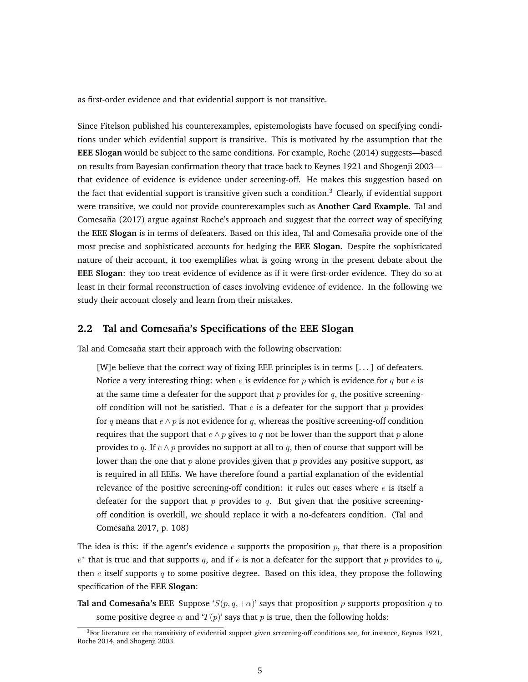as first-order evidence and that evidential support is not transitive.

Since Fitelson published his counterexamples, epistemologists have focused on specifying conditions under which evidential support is transitive. This is motivated by the assumption that the **EEE Slogan** would be subject to the same conditions. For example, Roche (2014) suggests—based on results from Bayesian confirmation theory that trace back to Keynes 1921 and Shogenji 2003 that evidence of evidence is evidence under screening-off. He makes this suggestion based on the fact that evidential support is transitive given such a condition.<sup>3</sup> Clearly, if evidential support were transitive, we could not provide counterexamples such as **Another Card Example**. Tal and Comesaña (2017) argue against Roche's approach and suggest that the correct way of specifying the **EEE Slogan** is in terms of defeaters. Based on this idea, Tal and Comesaña provide one of the most precise and sophisticated accounts for hedging the **EEE Slogan**. Despite the sophisticated nature of their account, it too exemplifies what is going wrong in the present debate about the **EEE Slogan**: they too treat evidence of evidence as if it were first-order evidence. They do so at least in their formal reconstruction of cases involving evidence of evidence. In the following we study their account closely and learn from their mistakes.

### 2.2 Tal and Comesaña's Specifications of the EEE Slogan

Tal and Comesaña start their approach with the following observation:

[W]e believe that the correct way of fixing EEE principles is in terms [...] of defeaters. Notice a very interesting thing: when  $e$  is evidence for p which is evidence for q but  $e$  is at the same time a defeater for the support that  $p$  provides for  $q$ , the positive screeningoff condition will not be satisfied. That  $e$  is a defeater for the support that  $p$  provides for q means that  $e \wedge p$  is not evidence for q, whereas the positive screening-off condition requires that the support that  $e \wedge p$  gives to q not be lower than the support that p alone provides to q. If  $e \wedge p$  provides no support at all to q, then of course that support will be lower than the one that p alone provides given that p provides any positive support, as is required in all EEEs. We have therefore found a partial explanation of the evidential relevance of the positive screening-off condition: it rules out cases where  $e$  is itself a defeater for the support that  $p$  provides to  $q$ . But given that the positive screeningoff condition is overkill, we should replace it with a no-defeaters condition. (Tal and Comesaña 2017, p. 108)

The idea is this: if the agent's evidence  $e$  supports the proposition  $p$ , that there is a proposition  $e^*$  that is true and that supports q, and if  $e$  is not a defeater for the support that p provides to q, then  $e$  itself supports  $q$  to some positive degree. Based on this idea, they propose the following specification of the **EEE Slogan**:

**Tal and Comesaña's EEE** Suppose ' $S(p, q, +\alpha)$ ' says that proposition p supports proposition q to some positive degree  $\alpha$  and 'T(p)' says that p is true, then the following holds:

 ${}^{3}$ For literature on the transitivity of evidential support given screening-off conditions see, for instance, Keynes 1921, Roche 2014, and Shogenji 2003.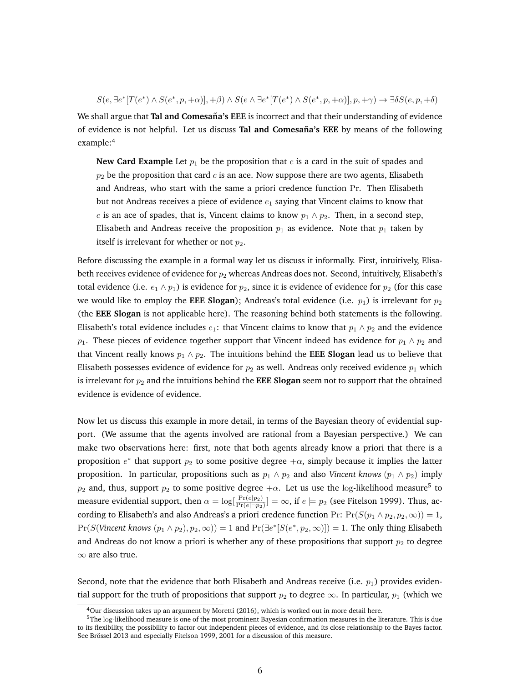$S(e, \exists e^* [T(e^*) \land S(e^*, p, +\alpha)], +\beta) \land S(e \land \exists e^* [T(e^*) \land S(e^*, p, +\alpha)], p, +\gamma) \rightarrow \exists \delta S(e, p, +\delta)$ 

We shall argue that **Tal and Comesaña's EEE** is incorrect and that their understanding of evidence of evidence is not helpful. Let us discuss **Tal and Comesana's EEE ˜** by means of the following example:<sup>4</sup>

**New Card Example** Let  $p_1$  be the proposition that c is a card in the suit of spades and  $p_2$  be the proposition that card c is an ace. Now suppose there are two agents, Elisabeth and Andreas, who start with the same a priori credence function Pr. Then Elisabeth but not Andreas receives a piece of evidence  $e_1$  saying that Vincent claims to know that c is an ace of spades, that is, Vincent claims to know  $p_1 \wedge p_2$ . Then, in a second step, Elisabeth and Andreas receive the proposition  $p_1$  as evidence. Note that  $p_1$  taken by itself is irrelevant for whether or not  $p_2$ .

Before discussing the example in a formal way let us discuss it informally. First, intuitively, Elisabeth receives evidence of evidence for  $p_2$  whereas Andreas does not. Second, intuitively, Elisabeth's total evidence (i.e.  $e_1 \wedge p_1$ ) is evidence for  $p_2$ , since it is evidence of evidence for  $p_2$  (for this case we would like to employ the **EEE Slogan**); Andreas's total evidence (i.e.  $p_1$ ) is irrelevant for  $p_2$ (the **EEE Slogan** is not applicable here). The reasoning behind both statements is the following. Elisabeth's total evidence includes  $e_1$ : that Vincent claims to know that  $p_1 \wedge p_2$  and the evidence  $p_1$ . These pieces of evidence together support that Vincent indeed has evidence for  $p_1 \wedge p_2$  and that Vincent really knows  $p_1 \wedge p_2$ . The intuitions behind the **EEE Slogan** lead us to believe that Elisabeth possesses evidence of evidence for  $p_2$  as well. Andreas only received evidence  $p_1$  which is irrelevant for  $p_2$  and the intuitions behind the **EEE Slogan** seem not to support that the obtained evidence is evidence of evidence.

Now let us discuss this example in more detail, in terms of the Bayesian theory of evidential support. (We assume that the agents involved are rational from a Bayesian perspective.) We can make two observations here: first, note that both agents already know a priori that there is a proposition  $e^*$  that support  $p_2$  to some positive degree  $+\alpha$ , simply because it implies the latter proposition. In particular, propositions such as  $p_1 \wedge p_2$  and also *Vincent knows*  $(p_1 \wedge p_2)$  imply  $p_2$  and, thus, support  $p_2$  to some positive degree  $+\alpha$ . Let us use the log-likelihood measure<sup>5</sup> to measure evidential support, then  $\alpha = \log[\frac{\Pr(e|p_2)}{\Pr(e|\neg p_2)}] = \infty$ , if  $e \models p_2$  (see Fitelson 1999). Thus, according to Elisabeth's and also Andreas's a priori credence function Pr:  $Pr(S(p_1 \wedge p_2, p_2, \infty)) = 1$ ,  $Pr(S( Vincent knows (p_1 \land p_2), p_2, \infty)) = 1$  and  $Pr(\exists e^*[S(e^*, p_2, \infty)]) = 1$ . The only thing Elisabeth and Andreas do not know a priori is whether any of these propositions that support  $p_2$  to degree ∞ are also true.

Second, note that the evidence that both Elisabeth and Andreas receive (i.e.  $p_1$ ) provides evidential support for the truth of propositions that support  $p_2$  to degree  $\infty$ . In particular,  $p_1$  (which we

<sup>4</sup>Our discussion takes up an argument by Moretti (2016), which is worked out in more detail here.

<sup>&</sup>lt;sup>5</sup>The log-likelihood measure is one of the most prominent Bayesian confirmation measures in the literature. This is due to its flexibility, the possibility to factor out independent pieces of evidence, and its close relationship to the Bayes factor. See Brössel 2013 and especially Fitelson 1999, 2001 for a discussion of this measure.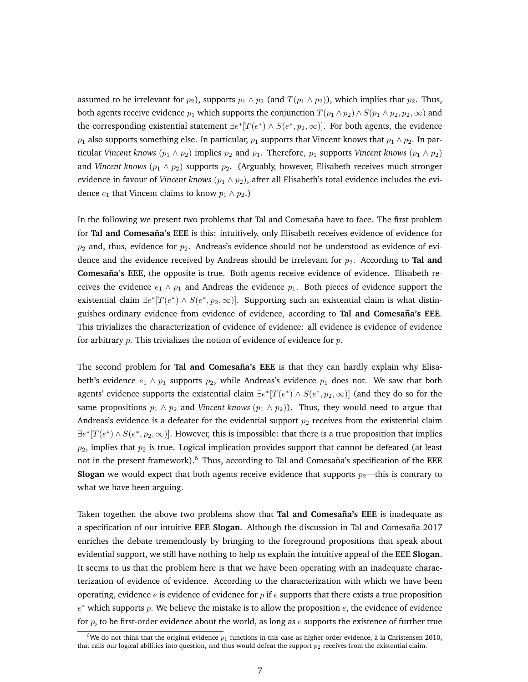assumed to be irrelevant for  $p_2$ ), supports  $p_1 \wedge p_2$  (and  $T(p_1 \wedge p_2)$ ), which implies that  $p_2$ . Thus, both agents receive evidence  $p_1$  which supports the conjunction  $T(p_1 \wedge p_2) \wedge S(p_1 \wedge p_2, p_2, \infty)$  and the corresponding existential statement  $\exists e^* [T(e^*) \wedge S(e^*, p_2, \infty)]$ . For both agents, the evidence  $p_1$  also supports something else. In particular,  $p_1$  supports that Vincent knows that  $p_1 \wedge p_2$ . In particular *Vincent knows*  $(p_1 \wedge p_2)$  implies  $p_2$  and  $p_1$ . Therefore,  $p_1$  supports *Vincent knows*  $(p_1 \wedge p_2)$ and *Vincent knows* ( $p_1 \wedge p_2$ ) supports  $p_2$ . (Arguably, however, Elisabeth receives much stronger evidence in favour of *Vincent knows* ( $p_1 \wedge p_2$ ), after all Elisabeth's total evidence includes the evidence  $e_1$  that Vincent claims to know  $p_1 \wedge p_2$ .)

In the following we present two problems that Tal and Comesaña have to face. The first problem for **Tal and Comesaña's EEE** is this: intuitively, only Elisabeth receives evidence of evidence for  $p_2$  and, thus, evidence for  $p_2$ . Andreas's evidence should not be understood as evidence of evidence and the evidence received by Andreas should be irrelevant for  $p_2$ . According to **Tal and Comesaña's EEE**, the opposite is true. Both agents receive evidence of evidence. Elisabeth receives the evidence  $e_1 \wedge p_1$  and Andreas the evidence  $p_1$ . Both pieces of evidence support the existential claim  $\exists e^* [T(e^*) \wedge S(e^*, p_2, \infty)]$ . Supporting such an existential claim is what distinguishes ordinary evidence from evidence of evidence, according to **Tal and Comesaña's EEE**. This trivializes the characterization of evidence of evidence: all evidence is evidence of evidence for arbitrary  $p$ . This trivializes the notion of evidence of evidence for  $p$ .

The second problem for **Tal and Comesaña's EEE** is that they can hardly explain why Elisabeth's evidence  $e_1 \wedge p_1$  supports  $p_2$ , while Andreas's evidence  $p_1$  does not. We saw that both agents' evidence supports the existential claim  $\exists e^*[T(e^*) \wedge S(e^*, p_2, \infty)]$  (and they do so for the same propositions  $p_1 \wedge p_2$  and *Vincent knows*  $(p_1 \wedge p_2)$ ). Thus, they would need to argue that Andreas's evidence is a defeater for the evidential support  $p_2$  receives from the existential claim  $\exists e^* [T(e^*) \wedge S(e^*, p_2, \infty)]$ . However, this is impossible: that there is a true proposition that implies  $p_2$ , implies that  $p_2$  is true. Logical implication provides support that cannot be defeated (at least not in the present framework).<sup>6</sup> Thus, according to Tal and Comesaña's specification of the **EEE Slogan** we would expect that both agents receive evidence that supports  $p_2$ —this is contrary to what we have been arguing.

Taken together, the above two problems show that **Tal and Comesaña's EEE** is inadequate as a specification of our intuitive **EEE Slogan**. Although the discussion in Tal and Comesaña 2017 enriches the debate tremendously by bringing to the foreground propositions that speak about evidential support, we still have nothing to help us explain the intuitive appeal of the **EEE Slogan**. It seems to us that the problem here is that we have been operating with an inadequate characterization of evidence of evidence. According to the characterization with which we have been operating, evidence  $e$  is evidence of evidence for  $p$  if  $e$  supports that there exists a true proposition  $e^*$  which supports p. We believe the mistake is to allow the proposition  $e$ , the evidence of evidence for  $p$ , to be first-order evidence about the world, as long as  $e$  supports the existence of further true

<sup>&</sup>lt;sup>6</sup>We do not think that the original evidence  $p_1$  functions in this case as higher-order evidence, à la Christensen 2010, that calls our logical abilities into question, and thus would defeat the support  $p_2$  receives from the existential claim.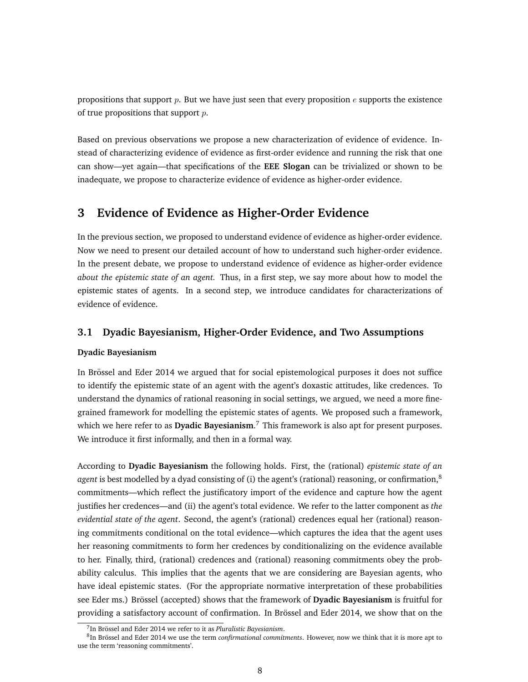propositions that support  $p$ . But we have just seen that every proposition  $e$  supports the existence of true propositions that support  $p$ .

Based on previous observations we propose a new characterization of evidence of evidence. Instead of characterizing evidence of evidence as first-order evidence and running the risk that one can show—yet again—that specifications of the **EEE Slogan** can be trivialized or shown to be inadequate, we propose to characterize evidence of evidence as higher-order evidence.

## **3 Evidence of Evidence as Higher-Order Evidence**

In the previous section, we proposed to understand evidence of evidence as higher-order evidence. Now we need to present our detailed account of how to understand such higher-order evidence. In the present debate, we propose to understand evidence of evidence as higher-order evidence *about the epistemic state of an agent.* Thus, in a first step, we say more about how to model the epistemic states of agents. In a second step, we introduce candidates for characterizations of evidence of evidence.

### **3.1 Dyadic Bayesianism, Higher-Order Evidence, and Two Assumptions**

#### **Dyadic Bayesianism**

In Brössel and Eder 2014 we argued that for social epistemological purposes it does not suffice to identify the epistemic state of an agent with the agent's doxastic attitudes, like credences. To understand the dynamics of rational reasoning in social settings, we argued, we need a more finegrained framework for modelling the epistemic states of agents. We proposed such a framework, which we here refer to as **Dyadic Bayesianism**. <sup>7</sup> This framework is also apt for present purposes. We introduce it first informally, and then in a formal way.

According to **Dyadic Bayesianism** the following holds. First, the (rational) *epistemic state of an agent* is best modelled by a dyad consisting of (i) the agent's (rational) reasoning, or confirmation,<sup>8</sup> commitments—which reflect the justificatory import of the evidence and capture how the agent justifies her credences—and (ii) the agent's total evidence. We refer to the latter component as *the evidential state of the agent*. Second, the agent's (rational) credences equal her (rational) reasoning commitments conditional on the total evidence—which captures the idea that the agent uses her reasoning commitments to form her credences by conditionalizing on the evidence available to her. Finally, third, (rational) credences and (rational) reasoning commitments obey the probability calculus. This implies that the agents that we are considering are Bayesian agents, who have ideal epistemic states. (For the appropriate normative interpretation of these probabilities see Eder ms.) Brössel (accepted) shows that the framework of **Dyadic Bayesianism** is fruitful for providing a satisfactory account of confirmation. In Brössel and Eder 2014, we show that on the

<sup>&</sup>lt;sup>7</sup>In Brössel and Eder 2014 we refer to it as *Pluralistic Bayesianism*.

<sup>&</sup>lt;sup>8</sup>In Brössel and Eder 2014 we use the term *confirmational commitments*. However, now we think that it is more apt to use the term 'reasoning commitments'.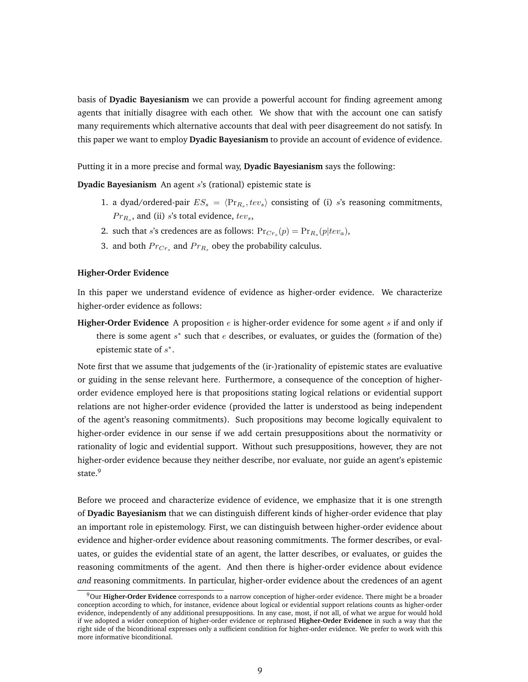basis of **Dyadic Bayesianism** we can provide a powerful account for finding agreement among agents that initially disagree with each other. We show that with the account one can satisfy many requirements which alternative accounts that deal with peer disagreement do not satisfy. In this paper we want to employ **Dyadic Bayesianism** to provide an account of evidence of evidence.

Putting it in a more precise and formal way, **Dyadic Bayesianism** says the following:

**Dyadic Bayesianism** An agent s's (rational) epistemic state is

- 1. a dyad/ordered-pair  $ES_s = \langle Pr_{R_s}, tev_s \rangle$  consisting of (i) s's reasoning commitments,  $Pr_{R_s}$ , and (ii) s's total evidence,  $tev_s$ ,
- 2. such that *s*'s credences are as follows:  $Pr_{Cr_s}(p) = Pr_{R_s}(p|tev_a)$ ,
- 3. and both  $Pr_{Cr_s}$  and  $Pr_{R_s}$  obey the probability calculus.

#### **Higher-Order Evidence**

In this paper we understand evidence of evidence as higher-order evidence. We characterize higher-order evidence as follows:

Higher-Order Evidence A proposition e is higher-order evidence for some agent s if and only if there is some agent  $s^*$  such that  $e$  describes, or evaluates, or guides the (formation of the) epistemic state of  $s^*$ .

Note first that we assume that judgements of the (ir-)rationality of epistemic states are evaluative or guiding in the sense relevant here. Furthermore, a consequence of the conception of higherorder evidence employed here is that propositions stating logical relations or evidential support relations are not higher-order evidence (provided the latter is understood as being independent of the agent's reasoning commitments). Such propositions may become logically equivalent to higher-order evidence in our sense if we add certain presuppositions about the normativity or rationality of logic and evidential support. Without such presuppositions, however, they are not higher-order evidence because they neither describe, nor evaluate, nor guide an agent's epistemic state.<sup>9</sup>

Before we proceed and characterize evidence of evidence, we emphasize that it is one strength of **Dyadic Bayesianism** that we can distinguish different kinds of higher-order evidence that play an important role in epistemology. First, we can distinguish between higher-order evidence about evidence and higher-order evidence about reasoning commitments. The former describes, or evaluates, or guides the evidential state of an agent, the latter describes, or evaluates, or guides the reasoning commitments of the agent. And then there is higher-order evidence about evidence *and* reasoning commitments. In particular, higher-order evidence about the credences of an agent

<sup>9</sup>Our **Higher-Order Evidence** corresponds to a narrow conception of higher-order evidence. There might be a broader conception according to which, for instance, evidence about logical or evidential support relations counts as higher-order evidence, independently of any additional presuppositions. In any case, most, if not all, of what we argue for would hold if we adopted a wider conception of higher-order evidence or rephrased **Higher-Order Evidence** in such a way that the right side of the biconditional expresses only a sufficient condition for higher-order evidence. We prefer to work with this more informative biconditional.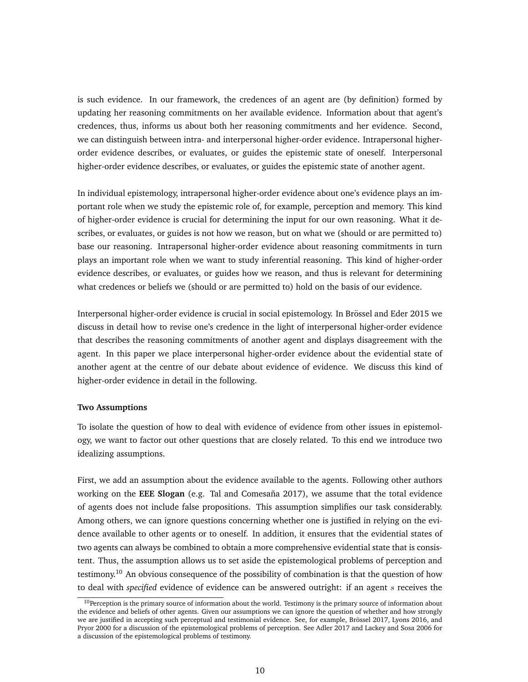is such evidence. In our framework, the credences of an agent are (by definition) formed by updating her reasoning commitments on her available evidence. Information about that agent's credences, thus, informs us about both her reasoning commitments and her evidence. Second, we can distinguish between intra- and interpersonal higher-order evidence. Intrapersonal higherorder evidence describes, or evaluates, or guides the epistemic state of oneself. Interpersonal higher-order evidence describes, or evaluates, or guides the epistemic state of another agent.

In individual epistemology, intrapersonal higher-order evidence about one's evidence plays an important role when we study the epistemic role of, for example, perception and memory. This kind of higher-order evidence is crucial for determining the input for our own reasoning. What it describes, or evaluates, or guides is not how we reason, but on what we (should or are permitted to) base our reasoning. Intrapersonal higher-order evidence about reasoning commitments in turn plays an important role when we want to study inferential reasoning. This kind of higher-order evidence describes, or evaluates, or guides how we reason, and thus is relevant for determining what credences or beliefs we (should or are permitted to) hold on the basis of our evidence.

Interpersonal higher-order evidence is crucial in social epistemology. In Brössel and Eder 2015 we discuss in detail how to revise one's credence in the light of interpersonal higher-order evidence that describes the reasoning commitments of another agent and displays disagreement with the agent. In this paper we place interpersonal higher-order evidence about the evidential state of another agent at the centre of our debate about evidence of evidence. We discuss this kind of higher-order evidence in detail in the following.

#### **Two Assumptions**

To isolate the question of how to deal with evidence of evidence from other issues in epistemology, we want to factor out other questions that are closely related. To this end we introduce two idealizing assumptions.

First, we add an assumption about the evidence available to the agents. Following other authors working on the **EEE Slogan** (e.g. Tal and Comesaña 2017), we assume that the total evidence of agents does not include false propositions. This assumption simplifies our task considerably. Among others, we can ignore questions concerning whether one is justified in relying on the evidence available to other agents or to oneself. In addition, it ensures that the evidential states of two agents can always be combined to obtain a more comprehensive evidential state that is consistent. Thus, the assumption allows us to set aside the epistemological problems of perception and testimony.<sup>10</sup> An obvious consequence of the possibility of combination is that the question of how to deal with *specified* evidence of evidence can be answered outright: if an agent s receives the

 $10$ Perception is the primary source of information about the world. Testimony is the primary source of information about the evidence and beliefs of other agents. Given our assumptions we can ignore the question of whether and how strongly we are justified in accepting such perceptual and testimonial evidence. See, for example, Brössel 2017, Lyons 2016, and Pryor 2000 for a discussion of the epistemological problems of perception. See Adler 2017 and Lackey and Sosa 2006 for a discussion of the epistemological problems of testimony.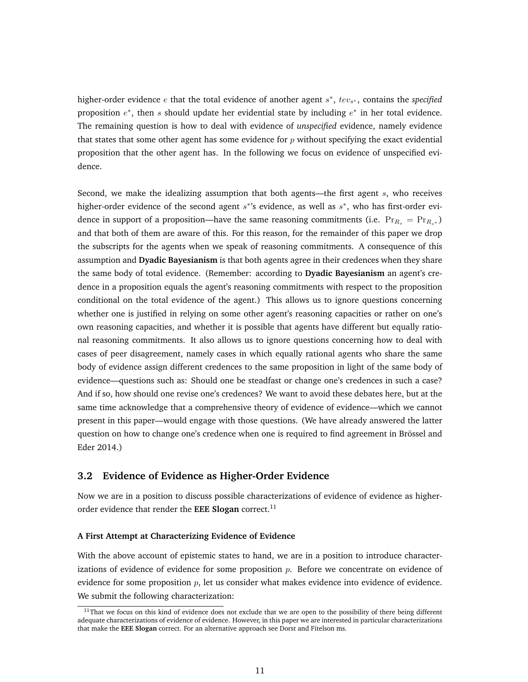higher-order evidence *e* that the total evidence of another agent s<sup>\*</sup>, tev<sub>s\*</sub>, contains the specified proposition  $e^*$ , then s should update her evidential state by including  $e^*$  in her total evidence. The remaining question is how to deal with evidence of *unspecified* evidence, namely evidence that states that some other agent has some evidence for  $p$  without specifying the exact evidential proposition that the other agent has. In the following we focus on evidence of unspecified evidence.

Second, we make the idealizing assumption that both agents—the first agent  $s$ , who receives higher-order evidence of the second agent  $s^*$ 's evidence, as well as  $s^*$ , who has first-order evidence in support of a proposition—have the same reasoning commitments (i.e.  $Pr_{R_s} = Pr_{R_{s*}}$ ) and that both of them are aware of this. For this reason, for the remainder of this paper we drop the subscripts for the agents when we speak of reasoning commitments. A consequence of this assumption and **Dyadic Bayesianism** is that both agents agree in their credences when they share the same body of total evidence. (Remember: according to **Dyadic Bayesianism** an agent's credence in a proposition equals the agent's reasoning commitments with respect to the proposition conditional on the total evidence of the agent.) This allows us to ignore questions concerning whether one is justified in relying on some other agent's reasoning capacities or rather on one's own reasoning capacities, and whether it is possible that agents have different but equally rational reasoning commitments. It also allows us to ignore questions concerning how to deal with cases of peer disagreement, namely cases in which equally rational agents who share the same body of evidence assign different credences to the same proposition in light of the same body of evidence—questions such as: Should one be steadfast or change one's credences in such a case? And if so, how should one revise one's credences? We want to avoid these debates here, but at the same time acknowledge that a comprehensive theory of evidence of evidence—which we cannot present in this paper—would engage with those questions. (We have already answered the latter question on how to change one's credence when one is required to find agreement in Brössel and Eder 2014.)

### **3.2 Evidence of Evidence as Higher-Order Evidence**

Now we are in a position to discuss possible characterizations of evidence of evidence as higherorder evidence that render the **EEE Slogan** correct.<sup>11</sup>

#### **A First Attempt at Characterizing Evidence of Evidence**

With the above account of epistemic states to hand, we are in a position to introduce characterizations of evidence of evidence for some proposition  $p$ . Before we concentrate on evidence of evidence for some proposition  $p$ , let us consider what makes evidence into evidence of evidence. We submit the following characterization:

 $11$ That we focus on this kind of evidence does not exclude that we are open to the possibility of there being different adequate characterizations of evidence of evidence. However, in this paper we are interested in particular characterizations that make the **EEE Slogan** correct. For an alternative approach see Dorst and Fitelson ms.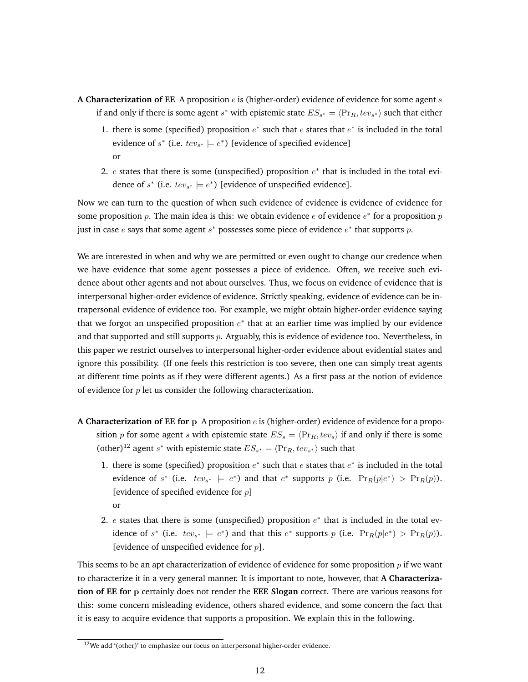- **A Characterization of EE** A proposition  $e$  is (higher-order) evidence of evidence for some agent  $s$ if and only if there is some agent  $s^*$  with epistemic state  $ES_{s^*} = \langle \Pr_R, tev_{s^*} \rangle$  such that either
	- 1. there is some (specified) proposition  $e^*$  such that  $e$  states that  $e^*$  is included in the total evidence of  $s^*$  (i.e.  $tev_{s^*} \models e^*$ ) [evidence of specified evidence] or
	- 2.  $e$  states that there is some (unspecified) proposition  $e^*$  that is included in the total evidence of  $s^*$  (i.e.  $tev_{s^*} \models e^*$ ) [evidence of unspecified evidence].

Now we can turn to the question of when such evidence of evidence is evidence of evidence for some proposition p. The main idea is this: we obtain evidence  $e$  of evidence  $e^*$  for a proposition p just in case  $e$  says that some agent  $s^*$  possesses some piece of evidence  $e^*$  that supports  $p$ .

We are interested in when and why we are permitted or even ought to change our credence when we have evidence that some agent possesses a piece of evidence. Often, we receive such evidence about other agents and not about ourselves. Thus, we focus on evidence of evidence that is interpersonal higher-order evidence of evidence. Strictly speaking, evidence of evidence can be intrapersonal evidence of evidence too. For example, we might obtain higher-order evidence saying that we forgot an unspecified proposition  $e^*$  that at an earlier time was implied by our evidence and that supported and still supports  $p$ . Arguably, this is evidence of evidence too. Nevertheless, in this paper we restrict ourselves to interpersonal higher-order evidence about evidential states and ignore this possibility. (If one feels this restriction is too severe, then one can simply treat agents at different time points as if they were different agents.) As a first pass at the notion of evidence of evidence for  $p$  let us consider the following characterization.

- **A Characterization of EE for**  $\bf{p}$  A proposition  $e$  is (higher-order) evidence of evidence for a proposition p for some agent s with epistemic state  $ES_s = \langle Pr_R, tev_s \rangle$  if and only if there is some (other)<sup>12</sup> agent s<sup>\*</sup> with epistemic state  $ES_{s^*} = \langle Pr_R, tev_{s^*} \rangle$  such that
	- 1. there is some (specified) proposition  $e^*$  such that  $e$  states that  $e^*$  is included in the total evidence of  $s^*$  (i.e.  $tev_{s^*} \models e^*$ ) and that  $e^*$  supports  $p$  (i.e.  $Pr_R(p|e^*)$  >  $Pr_R(p)$ ). [evidence of specified evidence for  $p$ ] or
	- 2.  $e$  states that there is some (unspecified) proposition  $e^*$  that is included in the total evidence of  $s^*$  (i.e.  $tev_{s^*} \models e^*$ ) and that this  $e^*$  supports  $p$  (i.e.  $Pr_R(p|e^*)$  >  $Pr_R(p)$ ). [evidence of unspecified evidence for  $p$ ].

This seems to be an apt characterization of evidence of evidence for some proposition  $p$  if we want to characterize it in a very general manner. It is important to note, however, that **A Characterization of EE for** p certainly does not render the **EEE Slogan** correct. There are various reasons for this: some concern misleading evidence, others shared evidence, and some concern the fact that it is easy to acquire evidence that supports a proposition. We explain this in the following.

 $12$ We add '(other)' to emphasize our focus on interpersonal higher-order evidence.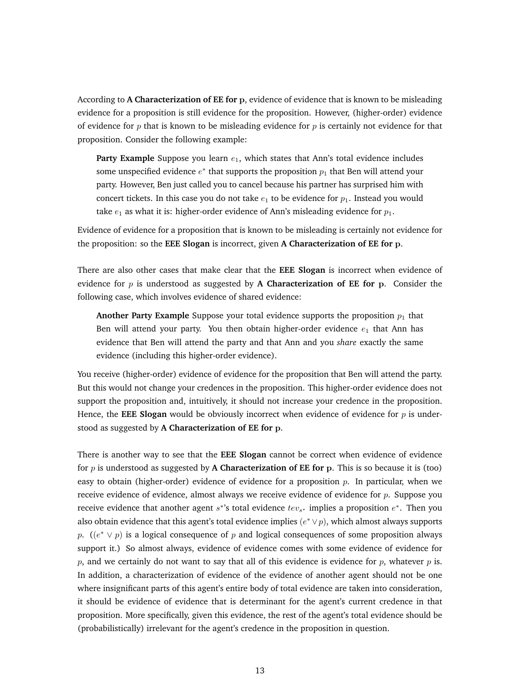According to **A Characterization of EE for** p, evidence of evidence that is known to be misleading evidence for a proposition is still evidence for the proposition. However, (higher-order) evidence of evidence for  $p$  that is known to be misleading evidence for  $p$  is certainly not evidence for that proposition. Consider the following example:

**Party Example** Suppose you learn  $e_1$ , which states that Ann's total evidence includes some unspecified evidence  $e^\ast$  that supports the proposition  $p_1$  that Ben will attend your party. However, Ben just called you to cancel because his partner has surprised him with concert tickets. In this case you do not take  $e_1$  to be evidence for  $p_1$ . Instead you would take  $e_1$  as what it is: higher-order evidence of Ann's misleading evidence for  $p_1$ .

Evidence of evidence for a proposition that is known to be misleading is certainly not evidence for the proposition: so the **EEE Slogan** is incorrect, given **A Characterization of EE for** p.

There are also other cases that make clear that the **EEE Slogan** is incorrect when evidence of evidence for  $p$  is understood as suggested by **A Characterization of EE for p.** Consider the following case, which involves evidence of shared evidence:

**Another Party Example** Suppose your total evidence supports the proposition  $p_1$  that Ben will attend your party. You then obtain higher-order evidence  $e_1$  that Ann has evidence that Ben will attend the party and that Ann and you *share* exactly the same evidence (including this higher-order evidence).

You receive (higher-order) evidence of evidence for the proposition that Ben will attend the party. But this would not change your credences in the proposition. This higher-order evidence does not support the proposition and, intuitively, it should not increase your credence in the proposition. Hence, the **EEE Slogan** would be obviously incorrect when evidence of evidence for  $p$  is understood as suggested by **A Characterization of EE for** p.

There is another way to see that the **EEE Slogan** cannot be correct when evidence of evidence for p is understood as suggested by **A Characterization of EE for** p. This is so because it is (too) easy to obtain (higher-order) evidence of evidence for a proposition  $p$ . In particular, when we receive evidence of evidence, almost always we receive evidence of evidence for  $p$ . Suppose you receive evidence that another agent  $s^*$ 's total evidence  $tev_{s^*}$  implies a proposition  $e^*$ . Then you also obtain evidence that this agent's total evidence implies  $(e^* \vee p)$ , which almost always supports p.  $((e^* \vee p)$  is a logical consequence of p and logical consequences of some proposition always support it.) So almost always, evidence of evidence comes with some evidence of evidence for  $p$ , and we certainly do not want to say that all of this evidence is evidence for  $p$ , whatever  $p$  is. In addition, a characterization of evidence of the evidence of another agent should not be one where insignificant parts of this agent's entire body of total evidence are taken into consideration, it should be evidence of evidence that is determinant for the agent's current credence in that proposition. More specifically, given this evidence, the rest of the agent's total evidence should be (probabilistically) irrelevant for the agent's credence in the proposition in question.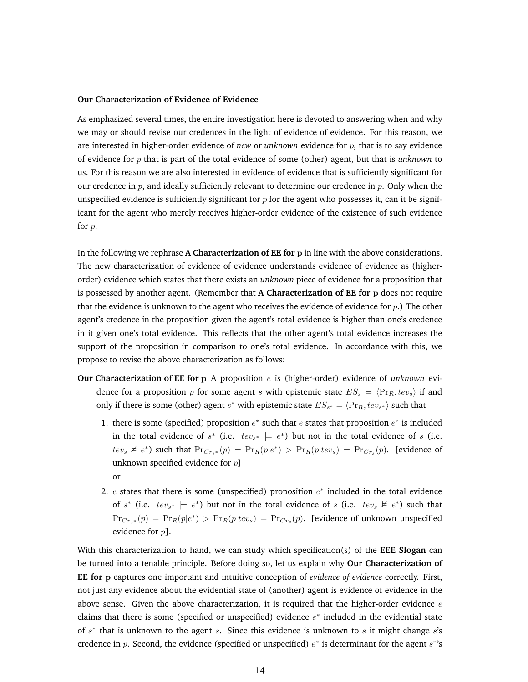#### **Our Characterization of Evidence of Evidence**

As emphasized several times, the entire investigation here is devoted to answering when and why we may or should revise our credences in the light of evidence of evidence. For this reason, we are interested in higher-order evidence of *new* or *unknown* evidence for p, that is to say evidence of evidence for p that is part of the total evidence of some (other) agent, but that is *unknown* to us. For this reason we are also interested in evidence of evidence that is sufficiently significant for our credence in  $p$ , and ideally sufficiently relevant to determine our credence in  $p$ . Only when the unspecified evidence is sufficiently significant for  $p$  for the agent who possesses it, can it be significant for the agent who merely receives higher-order evidence of the existence of such evidence for  $p$ .

In the following we rephrase **A Characterization of EE for** p in line with the above considerations. The new characterization of evidence of evidence understands evidence of evidence as (higherorder) evidence which states that there exists an *unknown* piece of evidence for a proposition that is possessed by another agent. (Remember that **A Characterization of EE for** p does not require that the evidence is unknown to the agent who receives the evidence of evidence for  $p$ .) The other agent's credence in the proposition given the agent's total evidence is higher than one's credence in it given one's total evidence. This reflects that the other agent's total evidence increases the support of the proposition in comparison to one's total evidence. In accordance with this, we propose to revise the above characterization as follows:

- **Our Characterization of EE for** p A proposition e is (higher-order) evidence of *unknown* evidence for a proposition p for some agent s with epistemic state  $ES_s = \langle Pr_R, tev_s \rangle$  if and only if there is some (other) agent  $s^*$  with epistemic state  $ES_{s^*} = \langle \text{Pr}_R, tev_{s^*} \rangle$  such that
	- 1. there is some (specified) proposition  $e^*$  such that  $e$  states that proposition  $e^*$  is included in the total evidence of  $s^*$  (i.e.  $tev_{s^*} \models e^*$ ) but not in the total evidence of s (i.e. tev<sub>s</sub>  $\nvdash e^*$ ) such that  $Pr_{Cr_{s^*}}(p) = Pr_R(p|e^*)$  >  $Pr_R(p|tev_s) = Pr_{Cr_s}(p)$ . [evidence of unknown specified evidence for  $p$ ] or
	- 2.  $e$  states that there is some (unspecified) proposition  $e^*$  included in the total evidence of  $s^*$  (i.e.  $tev_{s^*} \models e^*$ ) but not in the total evidence of s (i.e.  $tev_s \not\vdash e^*$ ) such that  $\Pr_{Cr_{s^*}}(p) = \Pr_R(p|e^*)$  >  $\Pr_R(p|tev_s) = \Pr_{Cr_s}(p)$ . [evidence of unknown unspecified evidence for  $p$ ].

With this characterization to hand, we can study which specification(s) of the **EEE Slogan** can be turned into a tenable principle. Before doing so, let us explain why **Our Characterization of EE for** p captures one important and intuitive conception of *evidence of evidence* correctly. First, not just any evidence about the evidential state of (another) agent is evidence of evidence in the above sense. Given the above characterization, it is required that the higher-order evidence  $e$ claims that there is some (specified or unspecified) evidence  $e^*$  included in the evidential state of  $s^*$  that is unknown to the agent s. Since this evidence is unknown to s it might change  $s$ 's credence in p. Second, the evidence (specified or unspecified)  $e^*$  is determinant for the agent  $s^*$ 's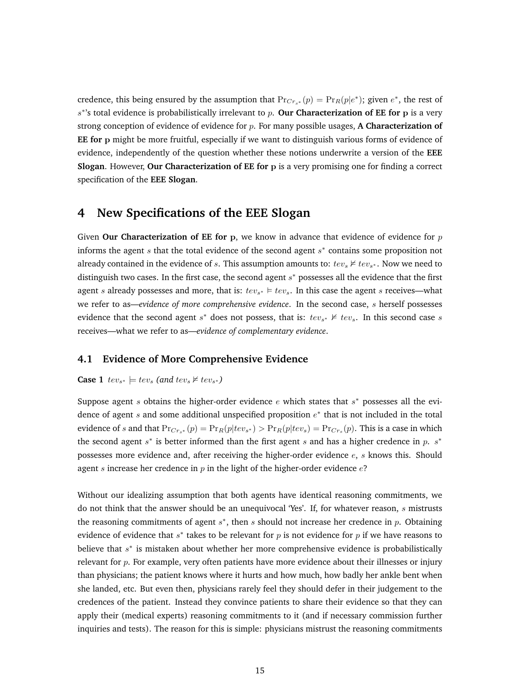credence, this being ensured by the assumption that  $Pr_{Cr_{s^*}}(p) = Pr_R(p|e^*)$ ; given  $e^*$ , the rest of s ∗ 's total evidence is probabilistically irrelevant to p. **Our Characterization of EE for** p is a very strong conception of evidence of evidence for p. For many possible usages, **A Characterization of EE for** p might be more fruitful, especially if we want to distinguish various forms of evidence of evidence, independently of the question whether these notions underwrite a version of the **EEE Slogan**. However, **Our Characterization of EE for** p is a very promising one for finding a correct specification of the **EEE Slogan**.

## **4 New Specifications of the EEE Slogan**

Given **Our Characterization of EE for** p, we know in advance that evidence of evidence for p informs the agent  $s$  that the total evidence of the second agent  $s^*$  contains some proposition not already contained in the evidence of s. This assumption amounts to:  $\mathit{tev}_s \nvDash \mathit{tev}_{s^*}$ . Now we need to distinguish two cases. In the first case, the second agent  $s^*$  possesses all the evidence that the first agent s already possesses and more, that is:  $tev_{s*} \models tev_s$ . In this case the agent s receives—what we refer to as—*evidence of more comprehensive evidence*. In the second case, s herself possesses evidence that the second agent s<sup>\*</sup> does not possess, that is:  $tev_{s*} \not\vDash tev_s$ . In this second case s receives—what we refer to as—*evidence of complementary evidence*.

#### **4.1 Evidence of More Comprehensive Evidence**

## **Case 1**  $tev_{s^*} \models tev_s$  (and  $tev_s \not\vdash tev_{s^*}$ )

Suppose agent  $s$  obtains the higher-order evidence  $e$  which states that  $s^*$  possesses all the evidence of agent  $s$  and some additional unspecified proposition  $e^*$  that is not included in the total evidence of  $s$  and that  $Pr_{Cr_{s^*}}(p) = Pr_R(p|tev_{s^*}) > Pr_R(p|tev_s) = Pr_{Cr_s}(p)$ . This is a case in which the second agent  $s^*$  is better informed than the first agent  $s$  and has a higher credence in  $p. s^*$ possesses more evidence and, after receiving the higher-order evidence  $e$ , s knows this. Should agent s increase her credence in  $p$  in the light of the higher-order evidence  $e$ ?

Without our idealizing assumption that both agents have identical reasoning commitments, we do not think that the answer should be an unequivocal 'Yes'. If, for whatever reason,  $s$  mistrusts the reasoning commitments of agent  $s^*$ , then  $s$  should not increase her credence in  $p$ . Obtaining evidence of evidence that  $s^*$  takes to be relevant for  $p$  is not evidence for  $p$  if we have reasons to believe that  $s^*$  is mistaken about whether her more comprehensive evidence is probabilistically relevant for  $p$ . For example, very often patients have more evidence about their illnesses or injury than physicians; the patient knows where it hurts and how much, how badly her ankle bent when she landed, etc. But even then, physicians rarely feel they should defer in their judgement to the credences of the patient. Instead they convince patients to share their evidence so that they can apply their (medical experts) reasoning commitments to it (and if necessary commission further inquiries and tests). The reason for this is simple: physicians mistrust the reasoning commitments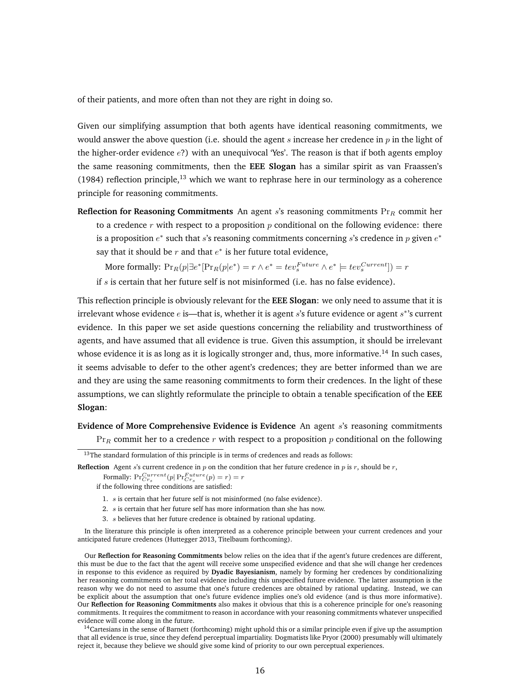of their patients, and more often than not they are right in doing so.

Given our simplifying assumption that both agents have identical reasoning commitments, we would answer the above question (i.e. should the agent s increase her credence in  $p$  in the light of the higher-order evidence  $e$ ?) with an unequivocal 'Yes'. The reason is that if both agents employ the same reasoning commitments, then the **EEE Slogan** has a similar spirit as van Fraassen's (1984) reflection principle,<sup>13</sup> which we want to rephrase here in our terminology as a coherence principle for reasoning commitments.

**Reflection for Reasoning Commitments** An agent  $s$ 's reasoning commitments  $Pr_R$  commit her to a credence r with respect to a proposition  $p$  conditional on the following evidence: there is a proposition  $e^*$  such that s's reasoning commitments concerning s's credence in  $p$  given  $e^*$ say that it should be  $r$  and that  $e^*$  is her future total evidence,

More formally:  $Pr_R(p|\exists e^* [Pr_R(p|e^*) = r \wedge e^* = tev_s^{Future} \wedge e^* \models tev_s^{Current}]) = r$ 

if  $s$  is certain that her future self is not misinformed (i.e. has no false evidence).

This reflection principle is obviously relevant for the **EEE Slogan**: we only need to assume that it is irrelevant whose evidence  $e$  is—that is, whether it is agent s's future evidence or agent s\*'s current evidence. In this paper we set aside questions concerning the reliability and trustworthiness of agents, and have assumed that all evidence is true. Given this assumption, it should be irrelevant whose evidence it is as long as it is logically stronger and, thus, more informative.<sup>14</sup> In such cases, it seems advisable to defer to the other agent's credences; they are better informed than we are and they are using the same reasoning commitments to form their credences. In the light of these assumptions, we can slightly reformulate the principle to obtain a tenable specification of the **EEE Slogan**:

**Evidence of More Comprehensive Evidence is Evidence** An agent s's reasoning commitments

 $Pr_R$  commit her to a credence r with respect to a proposition p conditional on the following

**Reflection** Agent s's current credence in p on the condition that her future credence in p is  $r$ , should be  $r$ ,

Formally:  $Pr_{Cr_s}^{Current}(p|Pr_{Cr_s}^{Future}(p) = r) = r$ 

if the following three conditions are satisfied:

- 1.  $s$  is certain that her future self is not misinformed (no false evidence).
- 2. s is certain that her future self has more information than she has now.
- 3. s believes that her future credence is obtained by rational updating.

In the literature this principle is often interpreted as a coherence principle between your current credences and your anticipated future credences (Huttegger 2013, Titelbaum forthcoming).

Our **Reflection for Reasoning Commitments** below relies on the idea that if the agent's future credences are different, this must be due to the fact that the agent will receive some unspecified evidence and that she will change her credences in response to this evidence as required by **Dyadic Bayesianism**, namely by forming her credences by conditionalizing her reasoning commitments on her total evidence including this unspecified future evidence. The latter assumption is the reason why we do not need to assume that one's future credences are obtained by rational updating. Instead, we can be explicit about the assumption that one's future evidence implies one's old evidence (and is thus more informative). Our **Reflection for Reasoning Commitments** also makes it obvious that this is a coherence principle for one's reasoning commitments. It requires the commitment to reason in accordance with your reasoning commitments whatever unspecified evidence will come along in the future.

<sup>14</sup>Cartesians in the sense of Barnett (forthcoming) might uphold this or a similar principle even if give up the assumption that all evidence is true, since they defend perceptual impartiality. Dogmatists like Pryor (2000) presumably will ultimately reject it, because they believe we should give some kind of priority to our own perceptual experiences.

 $13$ The standard formulation of this principle is in terms of credences and reads as follows: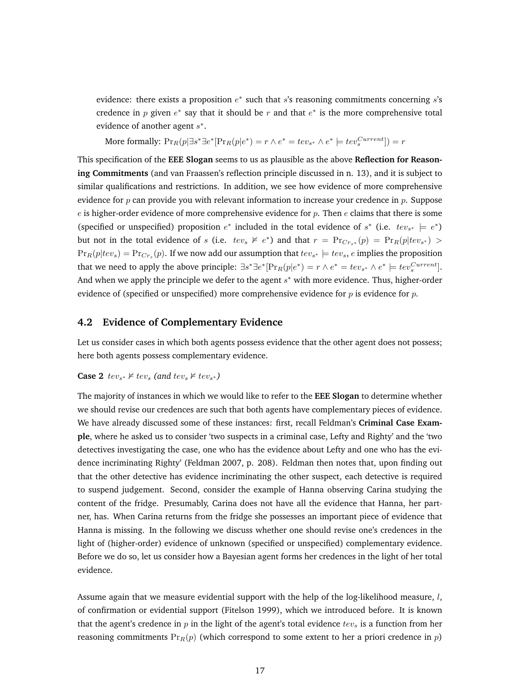evidence: there exists a proposition  $e^*$  such that s's reasoning commitments concerning s's credence in  $p$  given  $e^*$  say that it should be  $r$  and that  $e^*$  is the more comprehensive total evidence of another agent  $s^*$ .

More formally:  $Pr_R(p|\exists s^* \exists e^* [Pr_R(p|e^*) = r \wedge e^* = tev_{s^*} \wedge e^* \models tev_s^{Current}]) = r$ 

This specification of the **EEE Slogan** seems to us as plausible as the above **Reflection for Reasoning Commitments** (and van Fraassen's reflection principle discussed in n. 13), and it is subject to similar qualifications and restrictions. In addition, we see how evidence of more comprehensive evidence for  $p$  can provide you with relevant information to increase your credence in  $p$ . Suppose e is higher-order evidence of more comprehensive evidence for  $p$ . Then  $e$  claims that there is some (specified or unspecified) proposition  $e^*$  included in the total evidence of  $s^*$  (i.e.  $tev_{s^*} \models e^*$ ) but not in the total evidence of s (i.e.  $tev_s \not\vdash e^*$ ) and that  $r = \Pr_{Cr_{s^*}}(p) = \Pr_R(p|tev_{s^*}) >$  $\Pr_R(p|tev_s) = \Pr_{Cr_s}(p).$  If we now add our assumption that  $tev_{s^*} \models tev_s,$   $e$  implies the proposition that we need to apply the above principle:  $\exists s^* \exists e^* [\Pr_R(p|e^*) = r \land e^* = tev_{s^*} \land e^* \models tev_s^{Current}]$ . And when we apply the principle we defer to the agent  $s^*$  with more evidence. Thus, higher-order evidence of (specified or unspecified) more comprehensive evidence for  $p$  is evidence for  $p$ .

### **4.2 Evidence of Complementary Evidence**

Let us consider cases in which both agents possess evidence that the other agent does not possess; here both agents possess complementary evidence.

## **Case 2**  $tev_{s}$ <sup>★</sup>  $tev_{s}$  (and  $tev_{s}$  ⊭  $tev_{s*}$ )

The majority of instances in which we would like to refer to the **EEE Slogan** to determine whether we should revise our credences are such that both agents have complementary pieces of evidence. We have already discussed some of these instances: first, recall Feldman's **Criminal Case Example**, where he asked us to consider 'two suspects in a criminal case, Lefty and Righty' and the 'two detectives investigating the case, one who has the evidence about Lefty and one who has the evidence incriminating Righty' (Feldman 2007, p. 208). Feldman then notes that, upon finding out that the other detective has evidence incriminating the other suspect, each detective is required to suspend judgement. Second, consider the example of Hanna observing Carina studying the content of the fridge. Presumably, Carina does not have all the evidence that Hanna, her partner, has. When Carina returns from the fridge she possesses an important piece of evidence that Hanna is missing. In the following we discuss whether one should revise one's credences in the light of (higher-order) evidence of unknown (specified or unspecified) complementary evidence. Before we do so, let us consider how a Bayesian agent forms her credences in the light of her total evidence.

Assume again that we measure evidential support with the help of the log-likelihood measure,  $l$ , of confirmation or evidential support (Fitelson 1999), which we introduced before. It is known that the agent's credence in p in the light of the agent's total evidence  $tev<sub>s</sub>$  is a function from her reasoning commitments  $Pr_R(p)$  (which correspond to some extent to her a priori credence in p)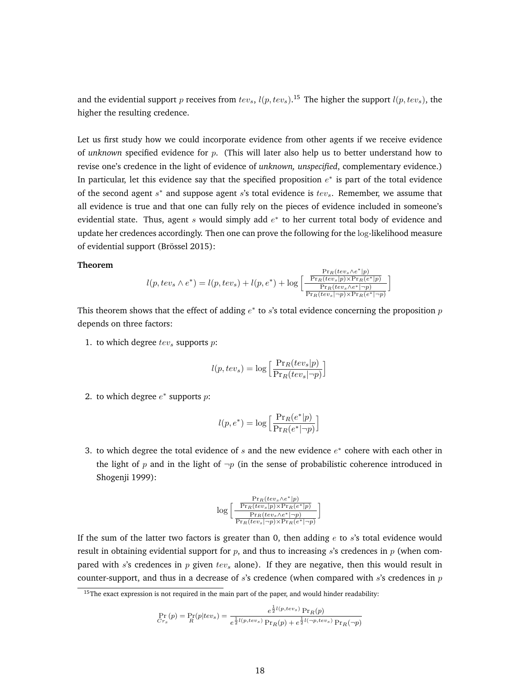and the evidential support p receives from  $tev_s$ ,  $l(p, tev_s)$ .<sup>15</sup> The higher the support  $l(p, tev_s)$ , the higher the resulting credence.

Let us first study how we could incorporate evidence from other agents if we receive evidence of *unknown* specified evidence for p. (This will later also help us to better understand how to revise one's credence in the light of evidence of *unknown, unspecified*, complementary evidence.) In particular, let this evidence say that the specified proposition  $e^*$  is part of the total evidence of the second agent  $s^*$  and suppose agent  $s$ 's total evidence is  $tev_s$ . Remember, we assume that all evidence is true and that one can fully rely on the pieces of evidence included in someone's evidential state. Thus, agent  $s$  would simply add  $e^*$  to her current total body of evidence and update her credences accordingly. Then one can prove the following for the log-likelihood measure of evidential support (Brössel 2015):

#### **Theorem**

$$
l(p,tev_s \wedge e^*) = l(p,tev_s) + l(p,e^*) + \log\Big[\frac{\frac{\Pr_R(tev_s \wedge e^*|p)}{\Pr_R(tev_s|p) \times \Pr_R(e^*|p)}}{\frac{\Pr_R(tev_s \wedge e^*|\neg p)}{\Pr_R(tev_s \wedge e^*|\neg p)}}\Big]
$$

This theorem shows that the effect of adding  $e^*$  to s's total evidence concerning the proposition  $p$ depends on three factors:

1. to which degree  $tev_s$  supports  $p$ :

$$
l(p,tev_s) = \log\Big[\frac{\text{Pr}_R(tev_s|p)}{\text{Pr}_R(tev_s|\neg p)}\Big]
$$

2. to which degree  $e^*$  supports  $p$ :

$$
l(p,e^*) = \log\Big[\frac{\text{Pr}_R(e^*|p)}{\text{Pr}_R(e^*|\neg p)}\Big]
$$

3. to which degree the total evidence of  $s$  and the new evidence  $e^*$  cohere with each other in the light of p and in the light of  $\neg p$  (in the sense of probabilistic coherence introduced in Shogenji 1999):

$$
\log\bigg[\frac{\frac{\Pr_R(tev_s\wedge e^*|p)}{\Pr_R(tev_s|p)\times\Pr_R(e^*|p)}}{\frac{\Pr_R(tev_s\wedge e^*|\neg p)}{\Pr_R(tev_s|\neg p)\times\Pr_R(e^*|\neg p)}}\bigg]
$$

If the sum of the latter two factors is greater than 0, then adding  $e$  to  $s$ 's total evidence would result in obtaining evidential support for  $p$ , and thus to increasing s's credences in  $p$  (when compared with s's credences in p given tev<sub>s</sub> alone). If they are negative, then this would result in counter-support, and thus in a decrease of s's credence (when compared with s's credences in  $p$ 

$$
\Pr_{Cr_s}(p) = \Pr_R(p|tev_s) = \frac{e^{\frac{1}{2}l(p,tev_s)} \Pr_R(p)}{e^{\frac{1}{2}l(p,tev_s)} \Pr_R(p) + e^{\frac{1}{2}l(\neg p,tev_s)} \Pr_R(\neg p)}
$$

 $15$ The exact expression is not required in the main part of the paper, and would hinder readability: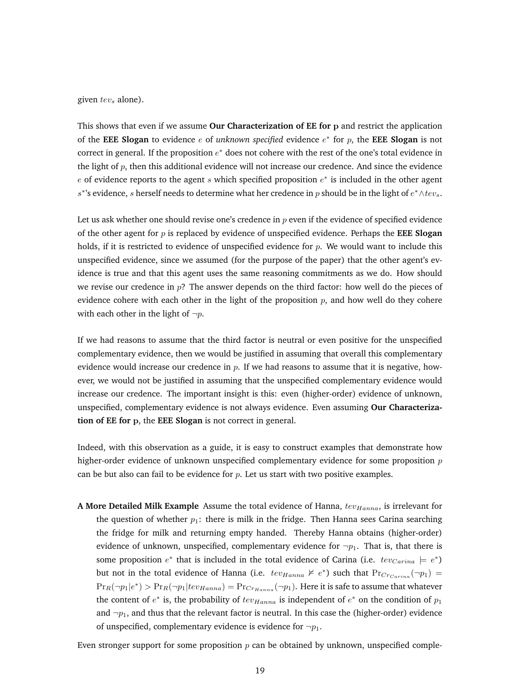given  $tev<sub>s</sub>$  alone).

This shows that even if we assume **Our Characterization of EE for** p and restrict the application of the **EEE Slogan** to evidence e of *unknown specified* evidence e ∗ for p, the **EEE Slogan** is not correct in general. If the proposition  $e^*$  does not cohere with the rest of the one's total evidence in the light of  $p$ , then this additional evidence will not increase our credence. And since the evidence e of evidence reports to the agent s which specified proposition  $e^*$  is included in the other agent  $s^*$ 's evidence,  $s$  herself needs to determine what her credence in  $p$  should be in the light of  $e^* \wedge t e v_s$ .

Let us ask whether one should revise one's credence in  $p$  even if the evidence of specified evidence of the other agent for p is replaced by evidence of unspecified evidence. Perhaps the **EEE Slogan** holds, if it is restricted to evidence of unspecified evidence for  $p$ . We would want to include this unspecified evidence, since we assumed (for the purpose of the paper) that the other agent's evidence is true and that this agent uses the same reasoning commitments as we do. How should we revise our credence in  $p$ ? The answer depends on the third factor: how well do the pieces of evidence cohere with each other in the light of the proposition  $p$ , and how well do they cohere with each other in the light of  $\neg p$ .

If we had reasons to assume that the third factor is neutral or even positive for the unspecified complementary evidence, then we would be justified in assuming that overall this complementary evidence would increase our credence in  $p$ . If we had reasons to assume that it is negative, however, we would not be justified in assuming that the unspecified complementary evidence would increase our credence. The important insight is this: even (higher-order) evidence of unknown, unspecified, complementary evidence is not always evidence. Even assuming **Our Characterization of EE for** p, the **EEE Slogan** is not correct in general.

Indeed, with this observation as a guide, it is easy to construct examples that demonstrate how higher-order evidence of unknown unspecified complementary evidence for some proposition  $p$ can be but also can fail to be evidence for  $p$ . Let us start with two positive examples.

**A More Detailed Milk Example** Assume the total evidence of Hanna,  $tev_{Hanna}$ , is irrelevant for the question of whether  $p_1$ : there is milk in the fridge. Then Hanna sees Carina searching the fridge for milk and returning empty handed. Thereby Hanna obtains (higher-order) evidence of unknown, unspecified, complementary evidence for  $\neg p_1$ . That is, that there is some proposition  $e^*$  that is included in the total evidence of Carina (i.e.  $tev_{Carina} \models e^*$ ) but not in the total evidence of Hanna (i.e.  $tev_{Hanna} \nvDash e^*$ ) such that  $Pr_{Cr_{Carina}}(\neg p_1)$  $\Pr_R(\neg p_1|e^*)>\Pr_R(\neg p_1|tev_{Hanna})=\Pr_{Cr_{Hanna}}(\neg p_1).$  Here it is safe to assume that whatever the content of  $e^*$  is, the probability of  $tev_{Hanna}$  is independent of  $e^*$  on the condition of  $p_1$ and  $\neg p_1$ , and thus that the relevant factor is neutral. In this case the (higher-order) evidence of unspecified, complementary evidence is evidence for  $\neg p_1$ .

Even stronger support for some proposition  $p$  can be obtained by unknown, unspecified comple-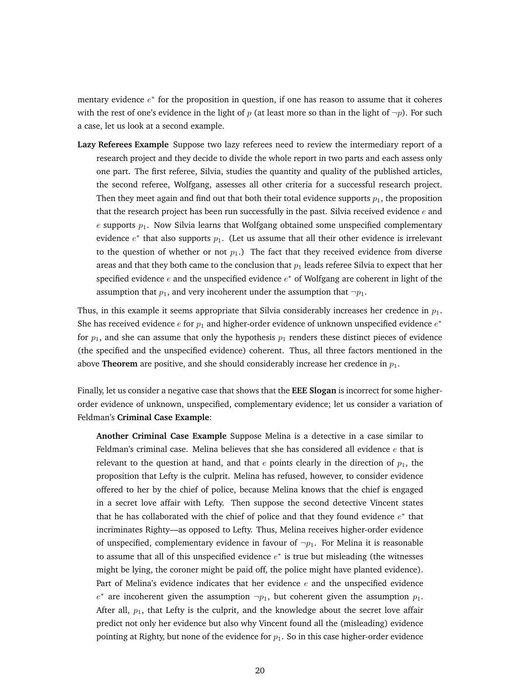mentary evidence  $e^*$  for the proposition in question, if one has reason to assume that it coheres with the rest of one's evidence in the light of p (at least more so than in the light of  $\neg p$ ). For such a case, let us look at a second example.

**Lazy Referees Example** Suppose two lazy referees need to review the intermediary report of a research project and they decide to divide the whole report in two parts and each assess only one part. The first referee, Silvia, studies the quantity and quality of the published articles, the second referee, Wolfgang, assesses all other criteria for a successful research project. Then they meet again and find out that both their total evidence supports  $p_1$ , the proposition that the research project has been run successfully in the past. Silvia received evidence  $e$  and e supports  $p_1$ . Now Silvia learns that Wolfgang obtained some unspecified complementary evidence  $e^*$  that also supports  $p_1$ . (Let us assume that all their other evidence is irrelevant to the question of whether or not  $p_1$ .) The fact that they received evidence from diverse areas and that they both came to the conclusion that  $p_1$  leads referee Silvia to expect that her specified evidence  $e$  and the unspecified evidence  $e^*$  of Wolfgang are coherent in light of the assumption that  $p_1$ , and very incoherent under the assumption that  $\neg p_1$ .

Thus, in this example it seems appropriate that Silvia considerably increases her credence in  $p_1$ . She has received evidence  $e$  for  $p_1$  and higher-order evidence of unknown unspecified evidence  $e^*$ for  $p_1$ , and she can assume that only the hypothesis  $p_1$  renders these distinct pieces of evidence (the specified and the unspecified evidence) coherent. Thus, all three factors mentioned in the above **Theorem** are positive, and she should considerably increase her credence in  $p_1$ .

Finally, let us consider a negative case that shows that the **EEE Slogan** is incorrect for some higherorder evidence of unknown, unspecified, complementary evidence; let us consider a variation of Feldman's **Criminal Case Example**:

**Another Criminal Case Example** Suppose Melina is a detective in a case similar to Feldman's criminal case. Melina believes that she has considered all evidence  $e$  that is relevant to the question at hand, and that e points clearly in the direction of  $p_1$ , the proposition that Lefty is the culprit. Melina has refused, however, to consider evidence offered to her by the chief of police, because Melina knows that the chief is engaged in a secret love affair with Lefty. Then suppose the second detective Vincent states that he has collaborated with the chief of police and that they found evidence  $e^*$  that incriminates Righty—as opposed to Lefty. Thus, Melina receives higher-order evidence of unspecified, complementary evidence in favour of  $\neg p_1$ . For Melina it is reasonable to assume that all of this unspecified evidence  $e^*$  is true but misleading (the witnesses might be lying, the coroner might be paid off, the police might have planted evidence). Part of Melina's evidence indicates that her evidence  $e$  and the unspecified evidence  $e^*$  are incoherent given the assumption  $\neg p_1$ , but coherent given the assumption  $p_1$ . After all,  $p_1$ , that Lefty is the culprit, and the knowledge about the secret love affair predict not only her evidence but also why Vincent found all the (misleading) evidence pointing at Righty, but none of the evidence for  $p_1$ . So in this case higher-order evidence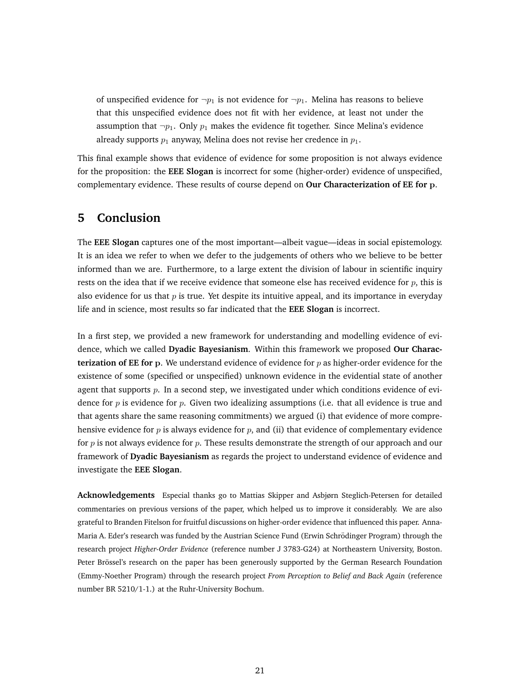of unspecified evidence for  $\neg p_1$  is not evidence for  $\neg p_1$ . Melina has reasons to believe that this unspecified evidence does not fit with her evidence, at least not under the assumption that  $\neg p_1$ . Only  $p_1$  makes the evidence fit together. Since Melina's evidence already supports  $p_1$  anyway, Melina does not revise her credence in  $p_1$ .

This final example shows that evidence of evidence for some proposition is not always evidence for the proposition: the **EEE Slogan** is incorrect for some (higher-order) evidence of unspecified, complementary evidence. These results of course depend on **Our Characterization of EE for** p.

## **5 Conclusion**

The **EEE Slogan** captures one of the most important—albeit vague—ideas in social epistemology. It is an idea we refer to when we defer to the judgements of others who we believe to be better informed than we are. Furthermore, to a large extent the division of labour in scientific inquiry rests on the idea that if we receive evidence that someone else has received evidence for  $p$ , this is also evidence for us that  $p$  is true. Yet despite its intuitive appeal, and its importance in everyday life and in science, most results so far indicated that the **EEE Slogan** is incorrect.

In a first step, we provided a new framework for understanding and modelling evidence of evidence, which we called **Dyadic Bayesianism**. Within this framework we proposed **Our Characterization of EE for** p. We understand evidence of evidence for  $p$  as higher-order evidence for the existence of some (specified or unspecified) unknown evidence in the evidential state of another agent that supports  $p$ . In a second step, we investigated under which conditions evidence of evidence for  $p$  is evidence for  $p$ . Given two idealizing assumptions (i.e. that all evidence is true and that agents share the same reasoning commitments) we argued (i) that evidence of more comprehensive evidence for p is always evidence for p, and (ii) that evidence of complementary evidence for p is not always evidence for p. These results demonstrate the strength of our approach and our framework of **Dyadic Bayesianism** as regards the project to understand evidence of evidence and investigate the **EEE Slogan**.

**Acknowledgements** Especial thanks go to Mattias Skipper and Asbjørn Steglich-Petersen for detailed commentaries on previous versions of the paper, which helped us to improve it considerably. We are also grateful to Branden Fitelson for fruitful discussions on higher-order evidence that influenced this paper. Anna-Maria A. Eder's research was funded by the Austrian Science Fund (Erwin Schrödinger Program) through the research project *Higher-Order Evidence* (reference number J 3783-G24) at Northeastern University, Boston. Peter Brössel's research on the paper has been generously supported by the German Research Foundation (Emmy-Noether Program) through the research project *From Perception to Belief and Back Again* (reference number BR 5210/1-1.) at the Ruhr-University Bochum.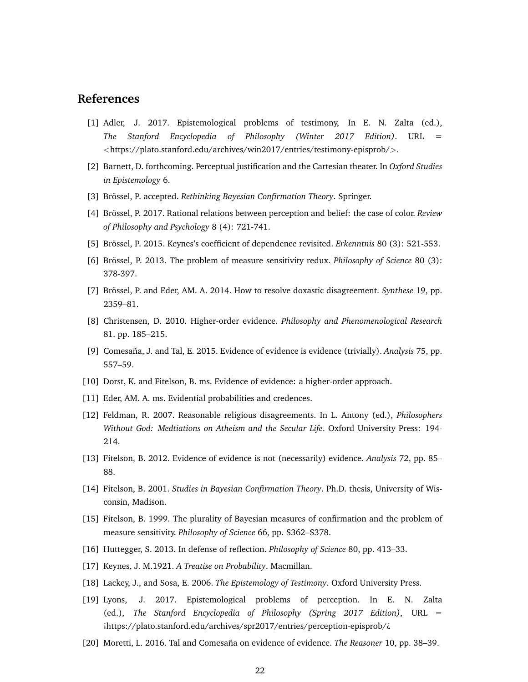## **References**

- [1] Adler, J. 2017. Epistemological problems of testimony, In E. N. Zalta (ed.), *The Stanford Encyclopedia of Philosophy (Winter 2017 Edition)*. URL = <https://plato.stanford.edu/archives/win2017/entries/testimony-episprob/>.
- [2] Barnett, D. forthcoming. Perceptual justification and the Cartesian theater. In *Oxford Studies in Epistemology* 6.
- [3] Brössel, P. accepted. *Rethinking Bayesian Confirmation Theory*. Springer.
- [4] Brössel, P. 2017. Rational relations between perception and belief: the case of color. *Review of Philosophy and Psychology* 8 (4): 721-741.
- [5] Brössel, P. 2015. Keynes's coefficient of dependence revisited. *Erkenntnis* 80 (3): 521-553.
- [6] Brössel, P. 2013. The problem of measure sensitivity redux. *Philosophy of Science* 80 (3): 378-397.
- [7] Brössel, P. and Eder, AM. A. 2014. How to resolve doxastic disagreement. *Synthese* 19, pp. 2359–81.
- [8] Christensen, D. 2010. Higher-order evidence. *Philosophy and Phenomenological Research* 81. pp. 185–215.
- [9] Comesaña, J. and Tal, E. 2015. Evidence of evidence is evidence (trivially). Analysis 75, pp. 557–59.
- [10] Dorst, K. and Fitelson, B. ms. Evidence of evidence: a higher-order approach.
- [11] Eder, AM. A. ms. Evidential probabilities and credences.
- [12] Feldman, R. 2007. Reasonable religious disagreements. In L. Antony (ed.), *Philosophers Without God: Medtiations on Atheism and the Secular Life*. Oxford University Press: 194- 214.
- [13] Fitelson, B. 2012. Evidence of evidence is not (necessarily) evidence. *Analysis* 72, pp. 85– 88.
- [14] Fitelson, B. 2001. *Studies in Bayesian Confirmation Theory*. Ph.D. thesis, University of Wisconsin, Madison.
- [15] Fitelson, B. 1999. The plurality of Bayesian measures of confirmation and the problem of measure sensitivity. *Philosophy of Science* 66, pp. S362–S378.
- [16] Huttegger, S. 2013. In defense of reflection. *Philosophy of Science* 80, pp. 413–33.
- [17] Keynes, J. M.1921. *A Treatise on Probability*. Macmillan.
- [18] Lackey, J., and Sosa, E. 2006. *The Epistemology of Testimony*. Oxford University Press.
- [19] Lyons, J. 2017. Epistemological problems of perception. In E. N. Zalta (ed.), *The Stanford Encyclopedia of Philosophy (Spring 2017 Edition)*, URL = ¡https://plato.stanford.edu/archives/spr2017/entries/perception-episprob/¿
- [20] Moretti, L. 2016. Tal and Comesaña on evidence of evidence. *The Reasoner* 10, pp. 38–39.